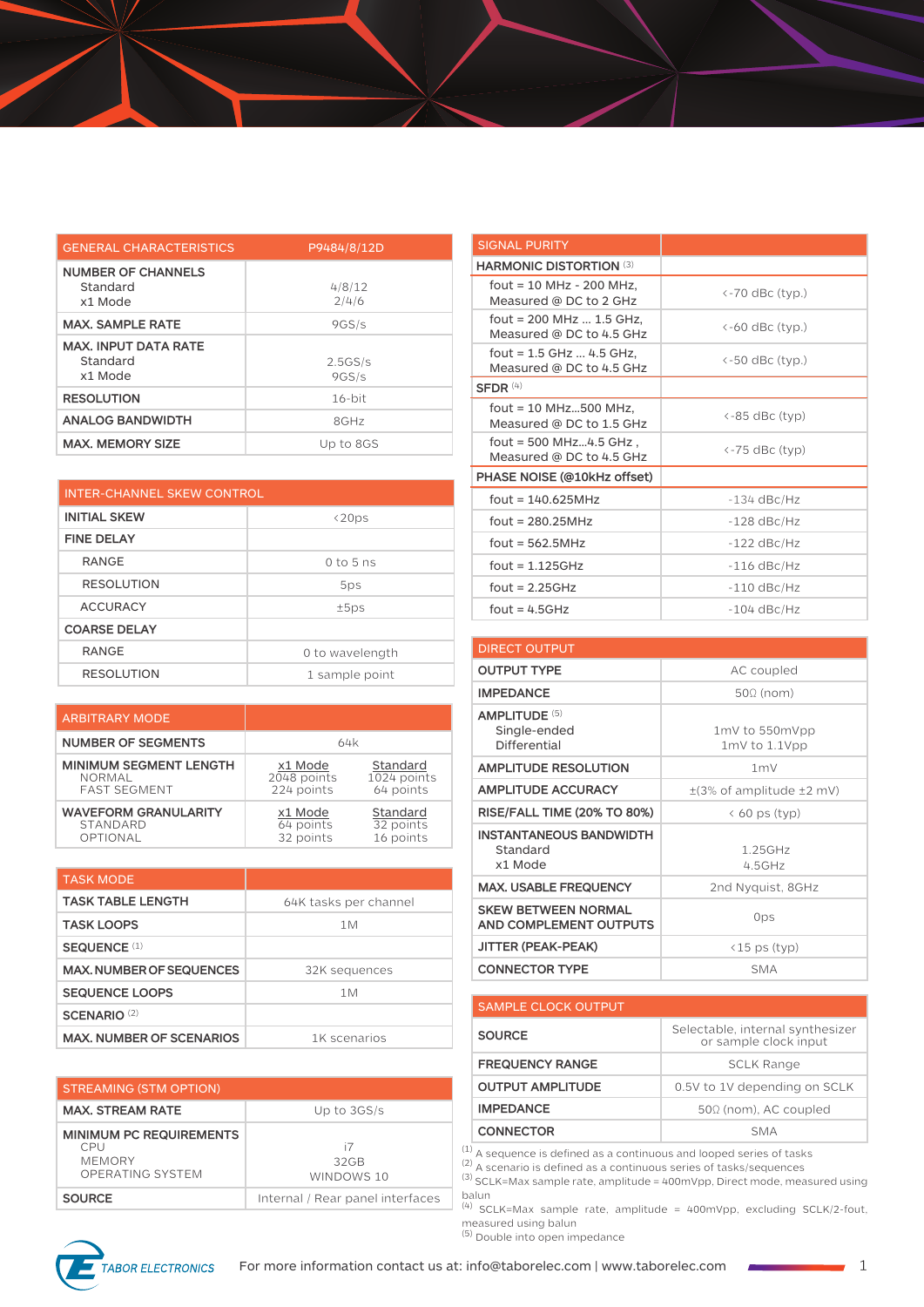| <b>GENERAL CHARACTERISTICS</b>                     | P9484/8/12D      |
|----------------------------------------------------|------------------|
| <b>NUMBER OF CHANNELS</b><br>Standard<br>x1 Mode   | 4/8/12<br>2/4/6  |
| <b>MAX. SAMPLE RATE</b>                            | 9GS/s            |
| <b>MAX. INPUT DATA RATE</b><br>Standard<br>x1 Mode | 2.5GS/s<br>9GS/s |
| <b>RESOLUTION</b>                                  | $16-hit$         |
| <b>ANALOG BANDWIDTH</b>                            | 8GHz             |
| <b>MAX. MEMORY SIZE</b>                            | Up to 8GS        |

| INTER-CHANNEL SKEW CONTROL |                 |
|----------------------------|-----------------|
| <b>INITIAL SKEW</b>        | $\langle 20ps$  |
| <b>FINE DELAY</b>          |                 |
| <b>RANGE</b>               | $0$ to 5 ns     |
| <b>RESOLUTION</b>          | 5ps             |
| <b>ACCURACY</b>            | ±5ps            |
| <b>COARSE DELAY</b>        |                 |
| <b>RANGE</b>               | 0 to wavelength |
| <b>RESOLUTION</b>          | 1 sample point  |

| <b>ARBITRARY MODE</b>         |             |             |
|-------------------------------|-------------|-------------|
| <b>NUMBER OF SEGMENTS</b>     | 64k         |             |
| <b>MINIMUM SEGMENT LENGTH</b> | x1 Mode     | Standard    |
| NORMAL                        | 2048 points | 1024 points |
| <b>FAST SEGMENT</b>           | 224 points  | 64 points   |
| <b>WAVEFORM GRANULARITY</b>   | x1 Mode     | Standard    |
| STANDARD                      | 64 points   | 32 points   |
| OPTIONAL                      | 32 points   | 16 points   |

| <b>TASK MODE</b>                |                       |
|---------------------------------|-----------------------|
| <b>TASK TABLE LENGTH</b>        | 64K tasks per channel |
| <b>TASK LOOPS</b>               | 1M                    |
| SEQUENCE <sup>(1)</sup>         |                       |
| <b>MAX, NUMBER OF SEQUENCES</b> | 32K sequences         |
| <b>SEQUENCE LOOPS</b>           | 1M                    |
| SCENARIO <sup>(2)</sup>         |                       |
| <b>MAX. NUMBER OF SCENARIOS</b> | 1K scenarios          |

| <b>STREAMING (STM OPTION)</b>                                              |                                  |
|----------------------------------------------------------------------------|----------------------------------|
| <b>MAX. STREAM RATE</b>                                                    | Up to 3GS/s                      |
| <b>MINIMUM PC REQUIREMENTS</b><br>CPU<br><b>MEMORY</b><br>OPERATING SYSTEM | i7<br>32GB<br>WINDOWS 10         |
| <b>SOURCE</b>                                                              | Internal / Rear panel interfaces |

| <b>SIGNAL PURITY</b>                                     |                            |
|----------------------------------------------------------|----------------------------|
| <b>HARMONIC DISTORTION (3)</b>                           |                            |
| fout = $10$ MHz - $200$ MHz,<br>Measured @ DC to 2 GHz   | <-70 dBc (typ.)            |
| fout = 200 MHz  1.5 GHz,<br>Measured @ DC to 4.5 GHz     | $\leftarrow$ 60 dBc (typ.) |
| fout = $1.5$ GHz $$ 4.5 GHz,<br>Measured @ DC to 4.5 GHz | <-50 dBc (typ.)            |
| SFDR $(4)$                                               |                            |
| fout = 10 MHz500 MHz.<br>Measured @ DC to 1.5 GHz        | <-85 dBc (typ)             |
| fout = $500$ MHz4.5 GHz,<br>Measured @ DC to 4.5 GHz     | <-75 dBc (typ)             |
| PHASE NOISE (@10kHz offset)                              |                            |
| $fout = 140.625MHz$                                      | $-134$ dBc/Hz              |
| fout = $280.25$ MHz                                      | $-128$ dBc/Hz              |
| $fout = 562.5MHz$                                        | $-122$ dBc/Hz              |
| fout = $1.125GHz$                                        | $-116$ dBc/Hz              |
| fout = $2.25GHz$                                         | $-110$ dBc/Hz              |
| $four = 4.5GHz$                                          | $-104$ dBc/Hz              |

| <b>DIRECT OUTPUT</b>                                  |                                      |
|-------------------------------------------------------|--------------------------------------|
| <b>OUTPUT TYPE</b>                                    | AC coupled                           |
| <b>IMPEDANCE</b>                                      | $50\Omega$ (nom)                     |
| <b>AMPLITUDE (5)</b><br>Single-ended<br>Differential  | 1mV to 550mVpp<br>$1mV$ to $1.1V$ pp |
| <b>AMPLITUDE RESOLUTION</b>                           | 1 <sub>m</sub>                       |
| <b>AMPLITUDE ACCURACY</b>                             | $\pm$ (3% of amplitude $\pm$ 2 mV)   |
| <b>RISE/FALL TIME (20% TO 80%)</b>                    | $\langle$ 60 ps (typ)                |
| <b>INSTANTANEOUS BANDWIDTH</b><br>Standard<br>x1 Mode | 1.25GHz<br>4.5GHz                    |
| <b>MAX. USABLE FREQUENCY</b>                          | 2nd Nyquist, 8GHz                    |
| <b>SKEW BETWEEN NORMAL</b><br>AND COMPLEMENT OUTPUTS  | 0ps                                  |
| JITTER (PEAK-PEAK)                                    | $\langle 15 \rangle$ ps (typ)        |
| <b>CONNECTOR TYPE</b>                                 | <b>SMA</b>                           |

## SAMPLE CLOCK OUTPUT **SOURCE** Selectable, internal synthesizer or sample clock input **FREQUENCY RANGE** SCLK Range **OUTPUT AMPLITUDE** 0.5V to 1V depending on SCLK **IMPEDANCE** 50Ω (nom), AC coupled **CONNECTOR** SMA

 $<sup>(1)</sup>$  A sequence is defined as a continuous and looped series of tasks</sup>

 $(2)$  A scenario is defined as a continuous series of tasks/sequences

(3) SCLK=Max sample rate, amplitude = 400mVpp, Direct mode, measured using

balun<br><sup>(4)</sup> SCLK=Max sample rate, amplitude = 400mVpp, excluding SCLK/2-fout, measured using balun measured using balun<br>(5) Double into open impedance

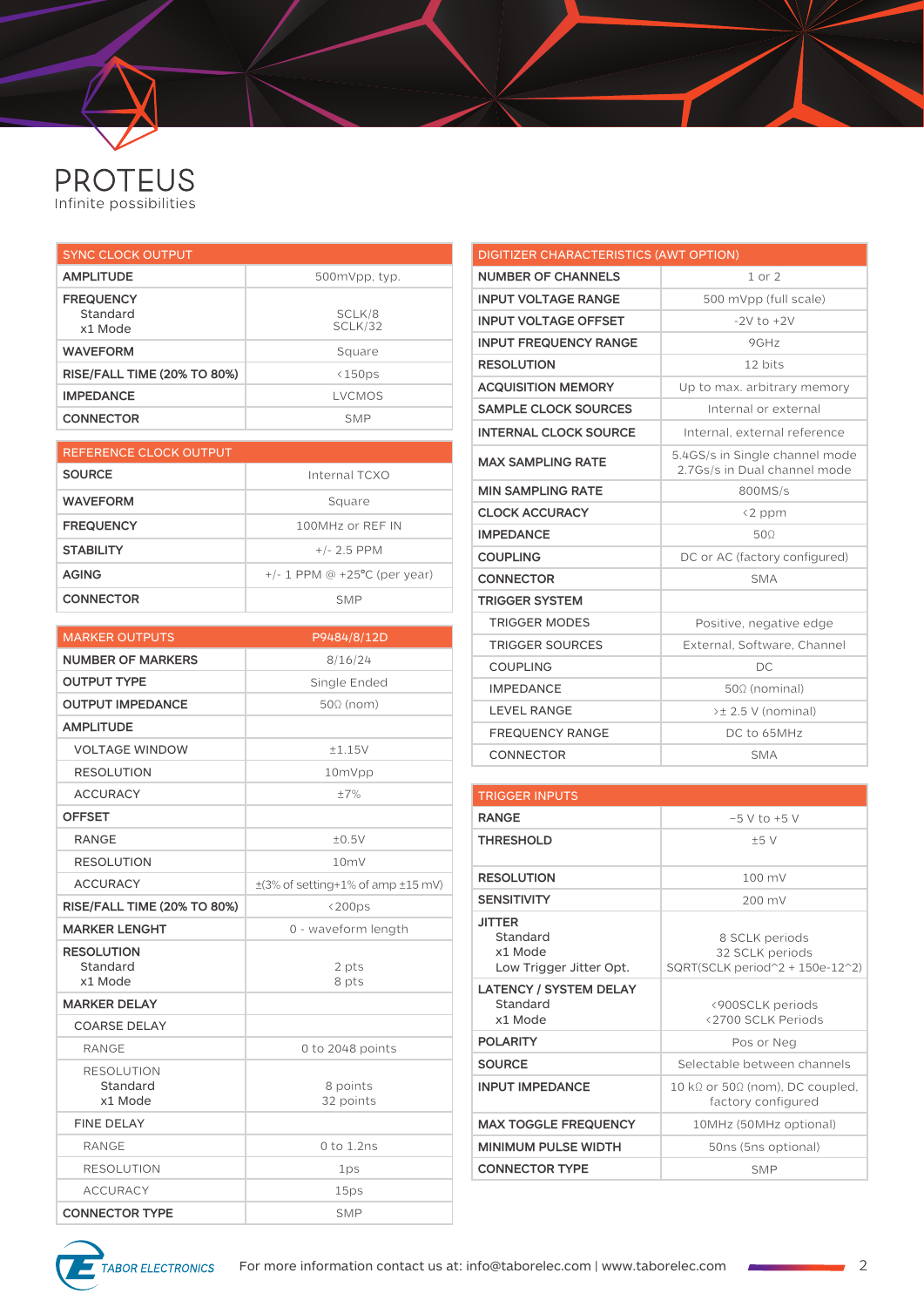## **PROTEUS**<br>Infinite possibilities

| <b>SYNC CLOCK OUTPUT</b>                |                   |
|-----------------------------------------|-------------------|
| <b>AMPLITUDE</b>                        | 500mVpp, typ.     |
| <b>FREQUENCY</b><br>Standard<br>x1 Mode | SCLK/8<br>SCLK/32 |
| <b>WAVEFORM</b>                         | Square            |
| <b>RISE/FALL TIME (20% TO 80%)</b>      | <150ps            |
| <b>IMPEDANCE</b>                        | LVCMOS            |
| <b>CONNECTOR</b>                        | <b>SMP</b>        |

| REFERENCE CLOCK OUTPUT |                                   |
|------------------------|-----------------------------------|
| <b>SOURCE</b>          | Internal TCXO                     |
| <b>WAVEFORM</b>        | Square                            |
| <b>FREQUENCY</b>       | 100MHz or RFF IN                  |
| <b>STABILITY</b>       | $+/- 2.5$ PPM                     |
| <b>AGING</b>           | $+/- 1$ PPM @ $+25$ °C (per year) |
| <b>CONNECTOR</b>       | <b>SMP</b>                        |

| <b>MARKER OUTPUTS</b>              | P9484/8/12D                                 |
|------------------------------------|---------------------------------------------|
| <b>NUMBER OF MARKERS</b>           | 8/16/24                                     |
| <b>OUTPUT TYPE</b>                 | Single Ended                                |
| <b>OUTPUT IMPEDANCE</b>            | $50\Omega$ (nom)                            |
| <b>AMPLITUDE</b>                   |                                             |
| <b>VOLTAGE WINDOW</b>              | ±1.15V                                      |
| <b>RESOLUTION</b>                  | 10mVpp                                      |
| <b>ACCURACY</b>                    | $\pm 7\%$                                   |
| <b>OFFSET</b>                      |                                             |
| <b>RANGE</b>                       | ±0.5V                                       |
| <b>RESOLUTION</b>                  | 10mV                                        |
| <b>ACCURACY</b>                    | $\pm$ (3% of setting+1% of amp $\pm$ 15 mV) |
| <b>RISE/FALL TIME (20% TO 80%)</b> | $<$ 200ps                                   |
| <b>MARKER LENGHT</b>               | 0 - waveform length                         |
| <b>RESOLUTION</b><br>Standard      | 2 pts                                       |
| x1 Mode                            | 8 pts                                       |
| <b>MARKER DELAY</b>                |                                             |
| <b>COARSE DELAY</b>                |                                             |
| <b>RANGE</b>                       | 0 to 2048 points                            |
| <b>RESOLUTION</b>                  |                                             |
| Standard<br>x1 Mode                | 8 points<br>32 points                       |
| <b>FINE DELAY</b>                  |                                             |
| <b>RANGE</b>                       | 0 to 1.2ns                                  |
| <b>RESOLUTION</b>                  | 1ps                                         |
| <b>ACCURACY</b>                    | 15ps                                        |
| <b>CONNECTOR TYPE</b>              | <b>SMP</b>                                  |

| <b>DIGITIZER CHARACTERISTICS (AWT OPTION)</b> |                                                                |
|-----------------------------------------------|----------------------------------------------------------------|
| <b>NUMBER OF CHANNELS</b>                     | $1$ or $2$                                                     |
| <b>INPUT VOLTAGE RANGE</b>                    | 500 mVpp (full scale)                                          |
| <b>INPUT VOLTAGE OFFSET</b>                   | $-2V$ to $+2V$                                                 |
| <b>INPUT FREQUENCY RANGE</b>                  | 9GHz                                                           |
| <b>RESOLUTION</b>                             | 12 bits                                                        |
| <b>ACQUISITION MEMORY</b>                     | Up to max. arbitrary memory                                    |
| <b>SAMPLE CLOCK SOURCES</b>                   | Internal or external                                           |
| <b>INTERNAL CLOCK SOURCE</b>                  | Internal, external reference                                   |
| <b>MAX SAMPLING RATE</b>                      | 5.4GS/s in Single channel mode<br>2.7Gs/s in Dual channel mode |
| <b>MIN SAMPLING RATE</b>                      | 800MS/s                                                        |
| <b>CLOCK ACCURACY</b>                         | <2 ppm                                                         |
| <b>IMPEDANCE</b>                              | 500                                                            |
| <b>COUPLING</b>                               | DC or AC (factory configured)                                  |
| <b>CONNECTOR</b>                              | <b>SMA</b>                                                     |
| <b>TRIGGER SYSTEM</b>                         |                                                                |
| <b>TRIGGER MODES</b>                          | Positive, negative edge                                        |
| <b>TRIGGER SOURCES</b>                        | External, Software, Channel                                    |
| <b>COUPLING</b>                               | DC                                                             |
| <b>IMPEDANCE</b>                              | $50\Omega$ (nominal)                                           |
| <b>LEVEL RANGE</b>                            | >± 2.5 V (nominal)                                             |
| <b>FREQUENCY RANGE</b>                        | DC to 65MHz                                                    |
| CONNECTOR                                     | <b>SMA</b>                                                     |

| <b>TRIGGER INPUTS</b>                                           |                                                                      |
|-----------------------------------------------------------------|----------------------------------------------------------------------|
| <b>RANGE</b>                                                    | $-5$ V to $+5$ V                                                     |
| <b>THRESHOLD</b>                                                | ±5V                                                                  |
| <b>RESOLUTION</b>                                               | 100 mV                                                               |
| <b>SENSITIVITY</b>                                              | 200 mV                                                               |
| <b>JITTER</b><br>Standard<br>x1 Mode<br>Low Trigger Jitter Opt. | 8 SCLK periods<br>32 SCLK periods<br>SQRT(SCLK period^2 + 150e-12^2) |
| <b>LATENCY / SYSTEM DELAY</b><br>Standard<br>x1 Mode            | <900SCLK periods<br><2700 SCLK Periods                               |
| <b>POLARITY</b>                                                 | Pos or Neg                                                           |
| <b>SOURCE</b>                                                   | Selectable between channels                                          |
| <b>INPUT IMPEDANCE</b>                                          | 10 kΩ or 50Ω (nom), DC coupled,<br>factory configured                |
| <b>MAX TOGGLE FREQUENCY</b>                                     | 10MHz (50MHz optional)                                               |
| <b>MINIMUM PULSE WIDTH</b>                                      | 50ns (5ns optional)                                                  |
| <b>CONNECTOR TYPE</b>                                           | <b>SMP</b>                                                           |

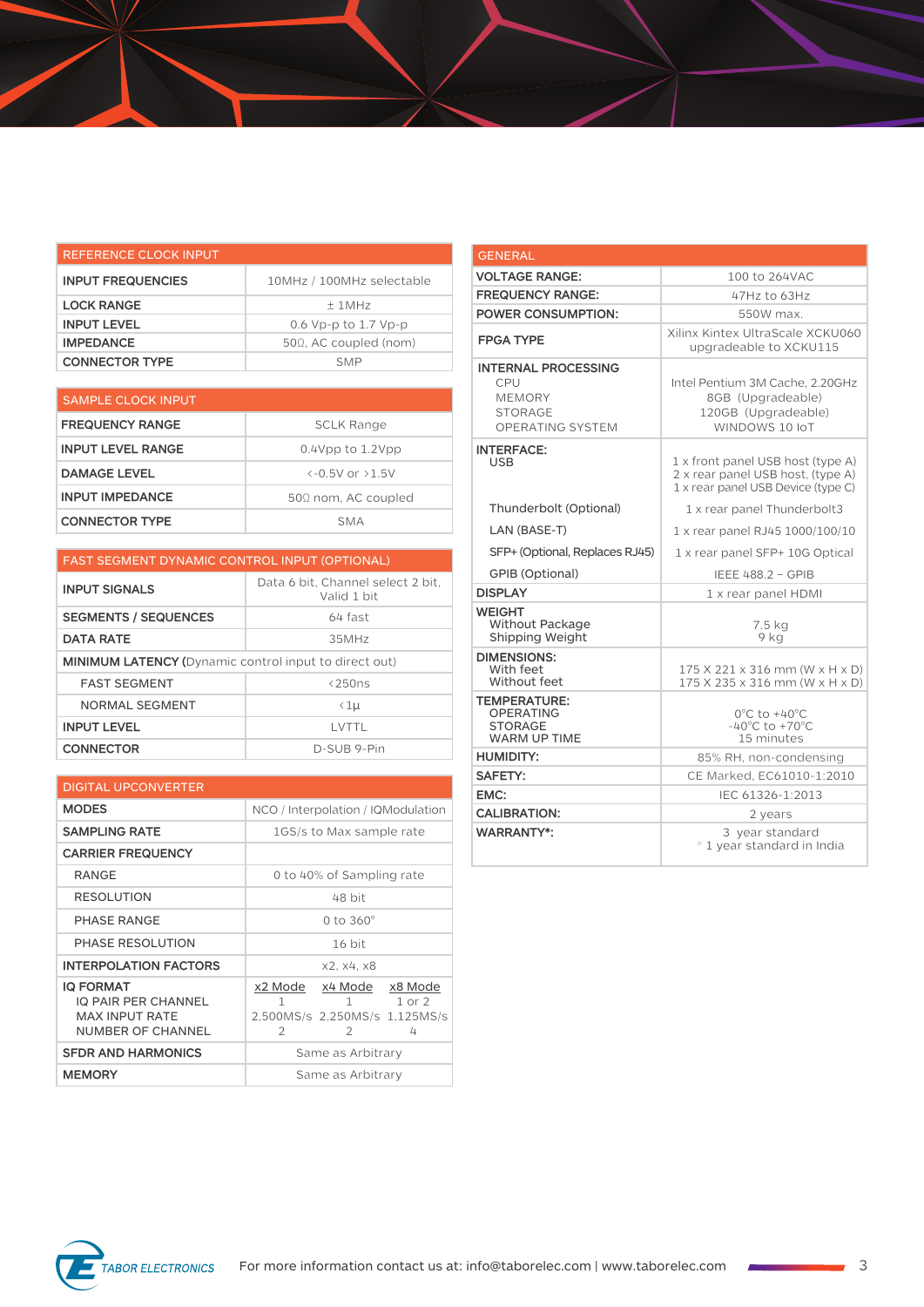| REFERENCE CLOCK INPUT    |                               |
|--------------------------|-------------------------------|
| <b>INPUT FREQUENCIES</b> | 10MHz / 100MHz selectable     |
| <b>LOCK RANGE</b>        | $+1MHz$                       |
| <b>INPUT LEVEL</b>       | 0.6 Vp-p to 1.7 Vp-p          |
| <b>IMPEDANCE</b>         | $50\Omega$ , AC coupled (nom) |
| <b>CONNECTOR TYPE</b>    | <b>SMP</b>                    |

| <b>SAMPLE CLOCK INPUT</b> |                                        |
|---------------------------|----------------------------------------|
| <b>FREQUENCY RANGE</b>    | SCLK Range                             |
| <b>INPUT LEVEL RANGE</b>  | $0.4$ Vpp to $1.2$ Vpp                 |
| <b>DAMAGE LEVEL</b>       | $\left(-0.5V \text{ or } 21.5V\right)$ |
| <b>INPUT IMPEDANCE</b>    | $50\Omega$ nom, AC coupled             |
| <b>CONNECTOR TYPE</b>     | SMA                                    |

| <b>FAST SEGMENT DYNAMIC CONTROL INPUT (OPTIONAL)</b>         |                                                  |
|--------------------------------------------------------------|--------------------------------------------------|
| <b>INPUT SIGNALS</b>                                         | Data 6 bit, Channel select 2 bit,<br>Valid 1 bit |
| <b>SEGMENTS / SEQUENCES</b>                                  | 64 fast                                          |
| <b>DATA RATE</b>                                             | 35MHz                                            |
| <b>MINIMUM LATENCY (Dynamic control input to direct out)</b> |                                                  |
| <b>FAST SEGMENT</b>                                          | $\langle 250ns$                                  |
| <b>NORMAL SEGMENT</b>                                        | $\langle 1 \mu$                                  |
| <b>INPUT LEVEL</b>                                           | I VTTI                                           |
| <b>CONNECTOR</b>                                             | D-SUB 9-Pin                                      |

| <b>DIGITAL UPCONVERTER</b>                                                                          |                                                                                          |  |
|-----------------------------------------------------------------------------------------------------|------------------------------------------------------------------------------------------|--|
| <b>MODES</b>                                                                                        | NCO / Interpolation / IQModulation                                                       |  |
| <b>SAMPLING RATE</b>                                                                                | 1GS/s to Max sample rate                                                                 |  |
| <b>CARRIER FREQUENCY</b>                                                                            |                                                                                          |  |
| <b>RANGE</b>                                                                                        | 0 to 40% of Sampling rate                                                                |  |
| <b>RESOLUTION</b>                                                                                   | 48 bit                                                                                   |  |
| PHASE RANGE                                                                                         | 0 to $360^\circ$                                                                         |  |
| PHASE RESOLUTION                                                                                    | 16 bit                                                                                   |  |
| <b>INTERPOLATION FACTORS</b>                                                                        | x2, x4, x8                                                                               |  |
| <b>IQ FORMAT</b><br><b>IQ PAIR PER CHANNEL</b><br><b>MAX INPUT RATE</b><br><b>NUMBER OF CHANNEL</b> | x2 Mode x4 Mode x8 Mode<br>1 1 or 2<br>1<br>2,500MS/s 2,250MS/s 1,125MS/s<br>2<br>4<br>2 |  |
| <b>SFDR AND HARMONICS</b>                                                                           | Same as Arbitrary                                                                        |  |
| <b>MEMORY</b>                                                                                       | Same as Arbitrary                                                                        |  |

| <b>GENERAL</b>                                                                                  |                                                                                                              |
|-------------------------------------------------------------------------------------------------|--------------------------------------------------------------------------------------------------------------|
| <b>VOLTAGE RANGE:</b>                                                                           | 100 to 264VAC                                                                                                |
| <b>FREQUENCY RANGE:</b>                                                                         | 47Hz to 63Hz                                                                                                 |
| <b>POWER CONSUMPTION:</b>                                                                       | 550W max.                                                                                                    |
| <b>FPGA TYPE</b>                                                                                | Xilinx Kintex UltraScale XCKU060<br>upgradeable to XCKU115                                                   |
| <b>INTERNAL PROCESSING</b><br>CPU<br><b>MEMORY</b><br><b>STORAGE</b><br><b>OPERATING SYSTEM</b> | Intel Pentium 3M Cache, 2.20GHz<br>8GB (Upgradeable)<br>120GB (Upgradeable)<br>WINDOWS 10 IoT                |
| <b>INTERFACE:</b><br><b>USB</b>                                                                 | 1 x front panel USB host (type A)<br>2 x rear panel USB host, (type A)<br>1 x rear panel USB Device (type C) |
| Thunderbolt (Optional)                                                                          | 1 x rear panel Thunderbolt3                                                                                  |
| LAN (BASE-T)                                                                                    | 1 x rear panel RJ45 1000/100/10                                                                              |
| SFP+ (Optional, Replaces RJ45)                                                                  | 1 x rear panel SFP+ 10G Optical                                                                              |
| <b>GPIB (Optional)</b>                                                                          | <b>IEEE 488.2 - GPIB</b>                                                                                     |
| <b>DISPLAY</b>                                                                                  | 1 x rear panel HDMI                                                                                          |
| <b>WEIGHT</b><br>Without Package<br>Shipping Weight                                             | 7.5 kg<br>9 ka                                                                                               |
| <b>DIMENSIONS:</b><br>With feet<br>Without feet                                                 | 175 X 221 x 316 mm (W x H x D)<br>175 X 235 x 316 mm (W x H x D)                                             |
| <b>TEMPERATURE:</b><br><b>OPERATING</b><br><b>STORAGE</b><br><b>WARM UP TIME</b>                | $0^{\circ}$ C to +40 $^{\circ}$ C<br>$-40^{\circ}$ C to $+70^{\circ}$ C<br>15 minutes                        |
| <b>HUMIDITY:</b>                                                                                | 85% RH, non-condensing                                                                                       |
| <b>SAFETY:</b>                                                                                  | CE Marked. EC61010-1:2010                                                                                    |
| EMC:                                                                                            | IEC 61326-1:2013                                                                                             |
| <b>CALIBRATION:</b>                                                                             | 2 years                                                                                                      |
| <b>WARRANTY*:</b>                                                                               | 3 year standard<br>* 1 year standard in India                                                                |